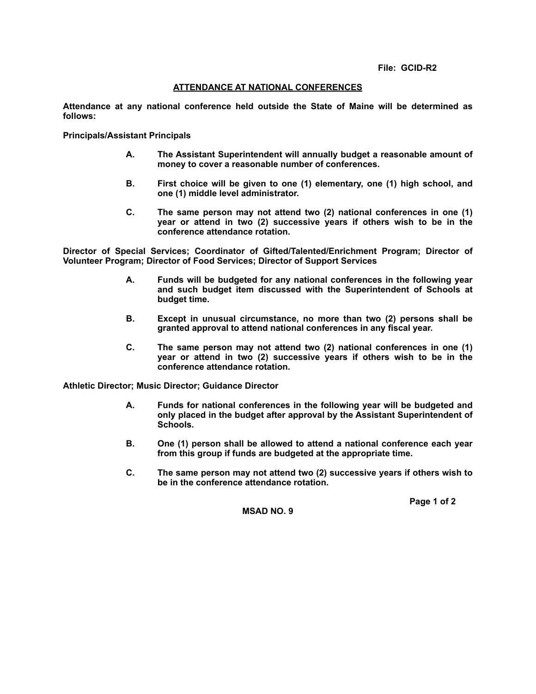## **ATTENDANCE AT NATIONAL CONFERENCES**

**Attendance at any national conference held outside the State of Maine will be determined as follows:**

**Principals/Assistant Principals**

- **A. The Assistant Superintendent will annually budget a reasonable amount of money to cover a reasonable number of conferences.**
- **B. First choice will be given to one (1) elementary, one (1) high school, and one (1) middle level administrator.**
- **C. The same person may not attend two (2) national conferences in one (1) year or attend in two (2) successive years if others wish to be in the conference attendance rotation.**

**Director of Special Services; Coordinator of Gifted/Talented/Enrichment Program; Director of Volunteer Program; Director of Food Services; Director of Support Services** 

- **A. Funds will be budgeted for any national conferences in the following year and such budget item discussed with the Superintendent of Schools at budget time.**
- **B. Except in unusual circumstance, no more than two (2) persons shall be granted approval to attend national conferences in any fiscal year.**
- **C. The same person may not attend two (2) national conferences in one (1) year or attend in two (2) successive years if others wish to be in the conference attendance rotation.**

**Athletic Director; Music Director; Guidance Director**

- **A. Funds for national conferences in the following year will be budgeted and only placed in the budget after approval by the Assistant Superintendent of Schools.**
- **B. One (1) person shall be allowed to attend a national conference each year from this group if funds are budgeted at the appropriate time.**
- **C. The same person may not attend two (2) successive years if others wish to be in the conference attendance rotation.**

 **Page 1 of 2**

**MSAD NO. 9**